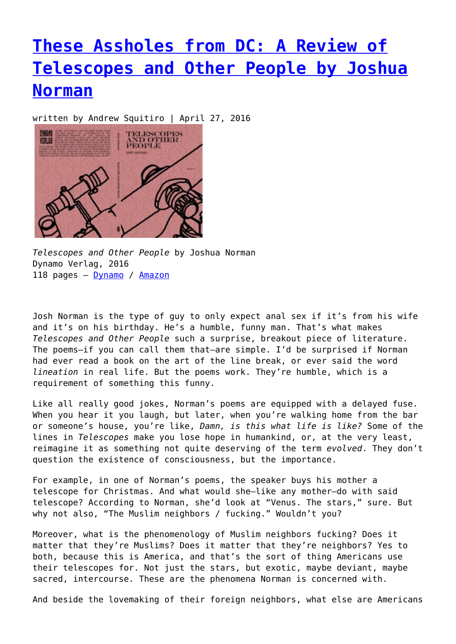## **[These Assholes from DC: A Review of](https://entropymag.org/these-assholes-from-dc-a-review-of-telescopes-and-other-people-by-joshua-norman/) [Telescopes and Other People by Joshua](https://entropymag.org/these-assholes-from-dc-a-review-of-telescopes-and-other-people-by-joshua-norman/) [Norman](https://entropymag.org/these-assholes-from-dc-a-review-of-telescopes-and-other-people-by-joshua-norman/)**

written by Andrew Squitiro | April 27, 2016



*Telescopes and Other People* by Joshua Norman Dynamo Verlag, 2016 118 pages - [Dynamo](http://dynamoverlagcat.tumblr.com/post/141659395479/telescopes-and-other-people) / [Amazon](http://www.amazon.com/Telescopes-Other-People-Josh-Norman/dp/0692636943/ref=sr_1_1?ie=UTF8&qid=1460751734&sr=8-1&keywords=telescopes+and+other+people)

Josh Norman is the type of guy to only expect anal sex if it's from his wife and it's on his birthday. He's a humble, funny man. That's what makes *Telescopes and Other People* such a surprise, breakout piece of literature. The poems—if you can call them that—are simple. I'd be surprised if Norman had ever read a book on the art of the line break, or ever said the word *lineation* in real life. But the poems work. They're humble, which is a requirement of something this funny.

Like all really good jokes, Norman's poems are equipped with a delayed fuse. When you hear it you laugh, but later, when you're walking home from the bar or someone's house, you're like, *Damn, is this what life is like?* Some of the lines in *Telescopes* make you lose hope in humankind, or, at the very least, reimagine it as something not quite deserving of the term *evolved*. They don't question the existence of consciousness, but the importance.

For example, in one of Norman's poems, the speaker buys his mother a telescope for Christmas. And what would she—like any mother—do with said telescope? According to Norman, she'd look at "Venus. The stars," sure. But why not also, "The Muslim neighbors / fucking." Wouldn't you?

Moreover, what is the phenomenology of Muslim neighbors fucking? Does it matter that they're Muslims? Does it matter that they're neighbors? Yes to both, because this is America, and that's the sort of thing Americans use their telescopes for. Not just the stars, but exotic, maybe deviant, maybe sacred, intercourse. These are the phenomena Norman is concerned with.

And beside the lovemaking of their foreign neighbors, what else are Americans